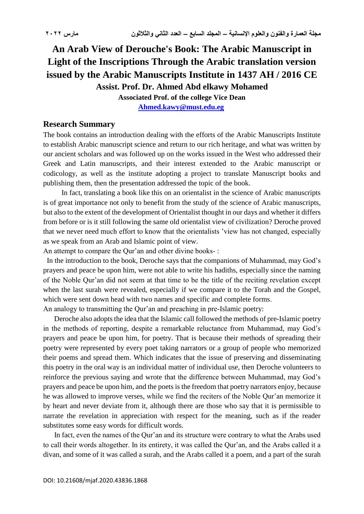## **An Arab View of Derouche's Book: The Arabic Manuscript in Light of the Inscriptions Through the Arabic translation version issued by the Arabic Manuscripts Institute in 1437 AH / 2016 CE Assist. Prof. Dr. Ahmed Abd elkawy Mohamed**

**Associated Prof. of the college Vice Dean [Ahmed.kawy@must.edu.eg](mailto:Ahmed.kawy@must.edu.eg)**

## **Research Summary**

The book contains an introduction dealing with the efforts of the Arabic Manuscripts Institute to establish Arabic manuscript science and return to our rich heritage, and what was written by our ancient scholars and was followed up on the works issued in the West who addressed their Greek and Latin manuscripts, and their interest extended to the Arabic manuscript or codicology, as well as the institute adopting a project to translate Manuscript books and publishing them, then the presentation addressed the topic of the book.

 In fact, translating a book like this on an orientalist in the science of Arabic manuscripts is of great importance not only to benefit from the study of the science of Arabic manuscripts, but also to the extent of the development of Orientalist thought in our days and whether it differs from before or is it still following the same old orientalist view of civilization? Deroche proved that we never need much effort to know that the orientalists 'view has not changed, especially as we speak from an Arab and Islamic point of view.

An attempt to compare the Qur'an and other divine books- :

 In the introduction to the book, Deroche says that the companions of Muhammad, may God's prayers and peace be upon him, were not able to write his hadiths, especially since the naming of the Noble Qur'an did not seem at that time to be the title of the reciting revelation except when the last surah were revealed, especially if we compare it to the Torah and the Gospel, which were sent down head with two names and specific and complete forms.

An analogy to transmitting the Qur'an and preaching in pre-Islamic poetry:

 Deroche also adopts the idea that the Islamic call followed the methods of pre-Islamic poetry in the methods of reporting, despite a remarkable reluctance from Muhammad, may God's prayers and peace be upon him, for poetry. That is because their methods of spreading their poetry were represented by every poet taking narrators or a group of people who memorized their poems and spread them. Which indicates that the issue of preserving and disseminating this poetry in the oral way is an individual matter of individual use, then Deroche volunteers to reinforce the previous saying and wrote that the difference between Muhammad, may God's prayers and peace be upon him, and the poets is the freedom that poetry narrators enjoy, because he was allowed to improve verses, while we find the reciters of the Noble Qur'an memorize it by heart and never deviate from it, although there are those who say that it is permissible to narrate the revelation in appreciation with respect for the meaning, such as if the reader substitutes some easy words for difficult words.

 In fact, even the names of the Qur'an and its structure were contrary to what the Arabs used to call their words altogether. In its entirety, it was called the Qur'an, and the Arabs called it a divan, and some of it was called a surah, and the Arabs called it a poem, and a part of the surah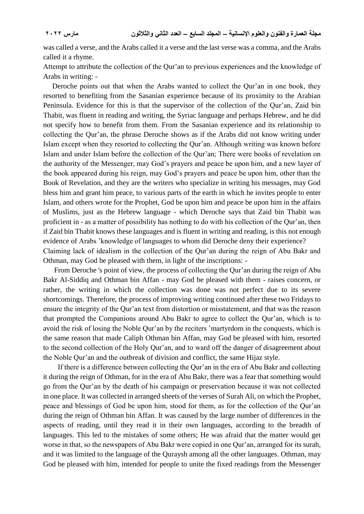was called a verse, and the Arabs called it a verse and the last verse was a comma, and the Arabs called it a rhyme.

Attempt to attribute the collection of the Qur'an to previous experiences and the knowledge of Arabs in writing: -

 Deroche points out that when the Arabs wanted to collect the Qur'an in one book, they resorted to benefiting from the Sasanian experience because of its proximity to the Arabian Peninsula. Evidence for this is that the supervisor of the collection of the Qur'an, Zaid bin Thabit, was fluent in reading and writing, the Syriac language and perhaps Hebrew, and he did not specify how to benefit from them. From the Sasanian experience and its relationship to collecting the Qur'an, the phrase Deroche shows as if the Arabs did not know writing under Islam except when they resorted to collecting the Qur'an. Although writing was known before Islam and under Islam before the collection of the Qur'an; There were books of revelation on the authority of the Messenger, may God's prayers and peace be upon him, and a new layer of the book appeared during his reign, may God's prayers and peace be upon him, other than the Book of Revelation, and they are the writers who specialize in writing his messages, may God bless him and grant him peace, to various parts of the earth in which he invites people to enter Islam, and others wrote for the Prophet, God be upon him and peace be upon him in the affairs of Muslims, just as the Hebrew language - which Deroche says that Zaid bin Thabit was proficient in - as a matter of possibility has nothing to do with his collection of the Qur'an, then if Zaid bin Thabit knows these languages and is fluent in writing and reading, is this not enough evidence of Arabs 'knowledge of languages to whom did Deroche deny their experience? Claiming lack of idealism in the collection of the Qur'an during the reign of Abu Bakr and Othman, may God be pleased with them, in light of the inscriptions: -

 From Deroche 's point of view, the process of collecting the Qur'an during the reign of Abu Bakr Al-Siddiq and Othman bin Affan - may God be pleased with them - raises concern, or rather, the writing in which the collection was done was not perfect due to its severe shortcomings. Therefore, the process of improving writing continued after these two Fridays to ensure the integrity of the Qur'an text from distortion or misstatement, and that was the reason that prompted the Companions around Abu Bakr to agree to collect the Qur'an, which is to avoid the risk of losing the Noble Qur'an by the reciters 'martyrdom in the conquests, which is the same reason that made Caliph Othman bin Affan, may God be pleased with him, resorted to the second collection of the Holy Qur'an, and to ward off the danger of disagreement about the Noble Qur'an and the outbreak of division and conflict, the same Hijaz style.

 If there is a difference between collecting the Qur'an in the era of Abu Bakr and collecting it during the reign of Othman, for in the era of Abu Bakr, there was a fear that something would go from the Qur'an by the death of his campaign or preservation because it was not collected in one place. It was collected in arranged sheets of the verses of Surah Ali, on which the Prophet, peace and blessings of God be upon him, stood for them, as for the collection of the Qur'an during the reign of Othman bin Affan. It was caused by the large number of differences in the aspects of reading, until they read it in their own languages, according to the breadth of languages. This led to the mistakes of some others; He was afraid that the matter would get worse in that, so the newspapers of Abu Bakr were copied in one Qur'an, arranged for its surah, and it was limited to the language of the Quraysh among all the other languages. Othman, may God be pleased with him, intended for people to unite the fixed readings from the Messenger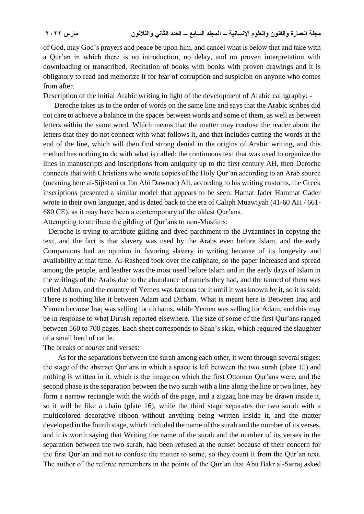of God, may God's prayers and peace be upon him, and cancel what is below that and take with a Qur'an in which there is no introduction, no delay, and no proven interpretation with downloading or transcribed. Recitation of books with books with proven drawings and it is obligatory to read and memorize it for fear of corruption and suspicion on anyone who comes from after.

Description of the initial Arabic writing in light of the development of Arabic calligraphy: -

 Deroche takes us to the order of words on the same line and says that the Arabic scribes did not care to achieve a balance in the spaces between words and some of them, as well as between letters within the same word. Which means that the matter may confuse the reader about the letters that they do not connect with what follows it, and that includes cutting the words at the end of the line, which will then find strong denial in the origins of Arabic writing, and this method has nothing to do with what is called: the continuous text that was used to organize the lines in manuscripts and inscriptions from antiquity up to the first century AH, then Deroche connects that with Christians who wrote copies of the Holy Qur'an according to an Arab source (meaning here al-Sijistani or Ibn Abi Dawood) Ali, according to his writing customs, the Greek inscriptions presented a similar model that appears to be seen: Hamat Jader Hammat Gader wrote in their own language, and is dated back to the era of Caliph Muawiyah (41-60 AH / 661- 680 CE), as it may have been a contemporary of the oldest Qur'ans.

Attempting to attribute the gilding of Qur'ans to non-Muslims: Deroche is trying to attribute gilding and dyed parchment to the Byzantines in copying the

text, and the fact is that slavery was used by the Arabs even before Islam, and the early Companions had an opinion in favoring slavery in writing because of its longevity and availability at that time. Al-Rasheed took over the caliphate, so the paper increased and spread among the people, and leather was the most used before Islam and in the early days of Islam in the writings of the Arabs due to the abundance of camels they had, and the tanned of them was called Adam, and the country of Yemen was famous for it until it was known by it, so it is said: There is nothing like it between Adam and Dirham. What is meant here is Between Iraq and Yemen because Iraq was selling for dirhams, while Yemen was selling for Adam, and this may be in response to what Dirush reported elsewhere. The size of some of the first Qur'ans ranged between 560 to 700 pages. Each sheet corresponds to Shah's skin, which required the slaughter of a small herd of cattle.

The breaks of *souras* and verses:

 As for the separations between the surah among each other, it went through several stages: the stage of the abstract Qur'ans in which a space is left between the two surah (plate 15) and nothing is written in it, which is the image on which the first Ottoman Qur'ans were, and the second phase is the separation between the two surah with a line along the line or two lines, hey form a narrow rectangle with the width of the page, and a zigzag line may be drawn inside it, so it will be like a chain (plate 16), while the third stage separates the two surah with a multicolored decorative ribbon without anything being written inside it, and the matter developed in the fourth stage, which included the name of the surah and the number of its verses, and it is worth saying that Writing the name of the surah and the number of its verses in the separation between the two surah, had been refused at the outset because of their concern for the first Qur'an and not to confuse the matter to some, so they count it from the Qur'an text. The author of the referee remembers in the points of the Qur'an that Abu Bakr al-Sarraj asked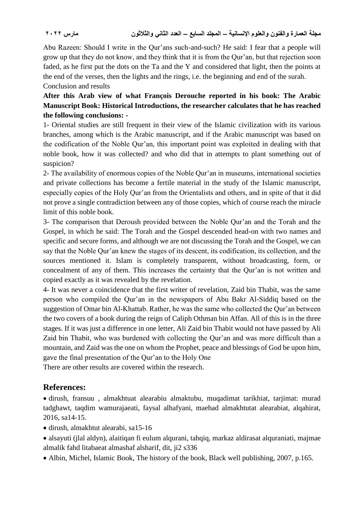Abu Razeen: Should I write in the Qur'ans such-and-such? He said: I fear that a people will grow up that they do not know, and they think that it is from the Qur'an, but that rejection soon faded, as he first put the dots on the Ta and the Y and considered that light, then the points at the end of the verses, then the lights and the rings, i.e. the beginning and end of the surah. Conclusion and results

**After this Arab view of what François Derouche reported in his book: The Arabic Manuscript Book: Historical Introductions, the researcher calculates that he has reached the following conclusions: -**

1- Oriental studies are still frequent in their view of the Islamic civilization with its various branches, among which is the Arabic manuscript, and if the Arabic manuscript was based on the codification of the Noble Qur'an, this important point was exploited in dealing with that noble book, how it was collected? and who did that in attempts to plant something out of suspicion?

2- The availability of enormous copies of the Noble Qur'an in museums, international societies and private collections has become a fertile material in the study of the Islamic manuscript, especially copies of the Holy Qur'an from the Orientalists and others, and in spite of that it did not prove a single contradiction between any of those copies, which of course reach the miracle limit of this noble book.

3- The comparison that Deroush provided between the Noble Qur'an and the Torah and the Gospel, in which he said: The Torah and the Gospel descended head-on with two names and specific and secure forms, and although we are not discussing the Torah and the Gospel, we can say that the Noble Qur'an knew the stages of its descent, its codification, its collection, and the sources mentioned it. Islam is completely transparent, without broadcasting, form, or concealment of any of them. This increases the certainty that the Qur'an is not written and copied exactly as it was revealed by the revelation.

4- It was never a coincidence that the first writer of revelation, Zaid bin Thabit, was the same person who compiled the Qur'an in the newspapers of Abu Bakr Al-Siddiq based on the suggestion of Omar bin Al-Khattab. Rather, he was the same who collected the Qur'an between the two covers of a book during the reign of Caliph Othman bin Affan. All of this is in the three stages. If it was just a difference in one letter, Ali Zaid bin Thabit would not have passed by Ali Zaid bin Thabit, who was burdened with collecting the Qur'an and was more difficult than a mountain, and Zaid was the one on whom the Prophet, peace and blessings of God be upon him, gave the final presentation of the Qur'an to the Holy One

There are other results are covered within the research.

## **References:**

 dirush, fransuu , almakhtuat alearabiu almaktubu, muqadimat tarikhiat, tarjimat: murad tadghawt, taqdim wamurajaeati, faysal alhafyani, maehad almakhtutat alearabiat, alqahirat, 2016, sa14-15.

dirush, almakhtut alearabi, sa15-16

- alsayuti (jlal aldyn), alaitiqan fi eulum alqurani, tahqiq, markaz aldirasat alquraniati, majmae almalik fahd litabaeat almashaf alsharif, dit, ji2 s336
- Albin, Michel, Islamic Book, The history of the book, Black well publishing, 2007, p.165.